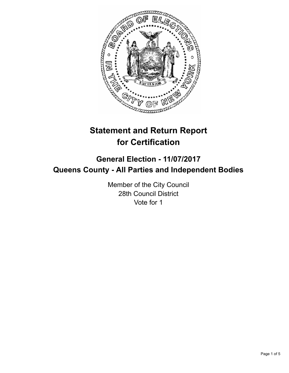

# **Statement and Return Report for Certification**

## **General Election - 11/07/2017 Queens County - All Parties and Independent Bodies**

Member of the City Council 28th Council District Vote for 1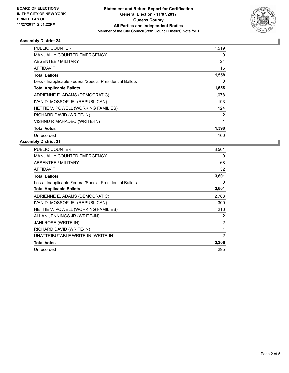

#### **Assembly District 24**

| <b>PUBLIC COUNTER</b>                                    | 1,519 |
|----------------------------------------------------------|-------|
| <b>MANUALLY COUNTED EMERGENCY</b>                        | 0     |
| ABSENTEE / MILITARY                                      | 24    |
| AFFIDAVIT                                                | 15    |
| <b>Total Ballots</b>                                     | 1,558 |
| Less - Inapplicable Federal/Special Presidential Ballots | 0     |
| <b>Total Applicable Ballots</b>                          | 1,558 |
| ADRIENNE E. ADAMS (DEMOCRATIC)                           | 1,078 |
| IVAN D. MOSSOP JR. (REPUBLICAN)                          | 193   |
| HETTIE V. POWELL (WORKING FAMILIES)                      | 124   |
| RICHARD DAVID (WRITE-IN)                                 | 2     |
| VISHNU R MAHADEO (WRITE-IN)                              | 1     |
| <b>Total Votes</b>                                       | 1,398 |
| Unrecorded                                               | 160   |

#### **Assembly District 31**

| PUBLIC COUNTER                                           | 3,501          |
|----------------------------------------------------------|----------------|
| <b>MANUALLY COUNTED EMERGENCY</b>                        | 0              |
| <b>ABSENTEE / MILITARY</b>                               | 68             |
| AFFIDAVIT                                                | 32             |
| <b>Total Ballots</b>                                     | 3,601          |
| Less - Inapplicable Federal/Special Presidential Ballots | 0              |
| <b>Total Applicable Ballots</b>                          | 3,601          |
| ADRIENNE E. ADAMS (DEMOCRATIC)                           | 2,783          |
| IVAN D. MOSSOP JR. (REPUBLICAN)                          | 300            |
| HETTIE V. POWELL (WORKING FAMILIES)                      | 216            |
| ALLAN JENNINGS JR (WRITE-IN)                             | 2              |
| JAHI ROSE (WRITE-IN)                                     | $\overline{2}$ |
| RICHARD DAVID (WRITE-IN)                                 | 1              |
| UNATTRIBUTABLE WRITE-IN (WRITE-IN)                       | 2              |
| <b>Total Votes</b>                                       | 3,306          |
| Unrecorded                                               | 295            |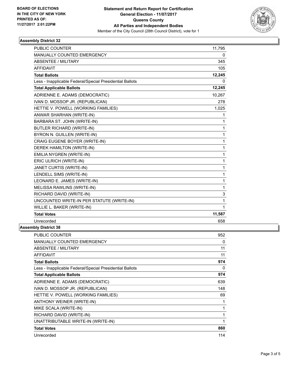

#### **Assembly District 32**

| <b>PUBLIC COUNTER</b>                                    | 11,795 |
|----------------------------------------------------------|--------|
| MANUALLY COUNTED EMERGENCY                               | 0      |
| <b>ABSENTEE / MILITARY</b>                               | 345    |
| <b>AFFIDAVIT</b>                                         | 105    |
| <b>Total Ballots</b>                                     | 12,245 |
| Less - Inapplicable Federal/Special Presidential Ballots | 0      |
| <b>Total Applicable Ballots</b>                          | 12,245 |
| ADRIENNE E. ADAMS (DEMOCRATIC)                           | 10,267 |
| IVAN D. MOSSOP JR. (REPUBLICAN)                          | 278    |
| HETTIE V. POWELL (WORKING FAMILIES)                      | 1,025  |
| ANWAR SHARHAN (WRITE-IN)                                 | 1      |
| BARBARA ST. JOHN (WRITE-IN)                              | 1      |
| <b>BUTLER RICHARD (WRITE-IN)</b>                         | 1      |
| BYRON N. GUILLEN (WRITE-IN)                              | 1      |
| CRAIG EUGENE BOYER (WRITE-IN)                            | 1      |
| DEREK HAMILTON (WRITE-IN)                                | 1      |
| EMILIA NYGREN (WRITE-IN)                                 | 1      |
| ERIC ULRICH (WRITE-IN)                                   | 1      |
| JANET CURTIS (WRITE-IN)                                  | 1      |
| LENDELL SIMS (WRITE-IN)                                  | 1      |
| LEONARD E. JAMES (WRITE-IN)                              | 1      |
| MELISSA RAWLINS (WRITE-IN)                               | 1      |
| RICHARD DAVID (WRITE-IN)                                 | 3      |
| UNCOUNTED WRITE-IN PER STATUTE (WRITE-IN)                | 1      |
| WILLIE L. BAKER (WRITE-IN)                               | 1      |
| <b>Total Votes</b>                                       | 11,587 |
| Unrecorded                                               | 658    |
| nhlv Nietri <i>r</i> t 38                                |        |

### **Assembly District 38**

| <b>PUBLIC COUNTER</b>                                    | 952 |
|----------------------------------------------------------|-----|
| <b>MANUALLY COUNTED EMERGENCY</b>                        | 0   |
| ABSENTEE / MILITARY                                      | 11  |
| AFFIDAVIT                                                | 11  |
| <b>Total Ballots</b>                                     | 974 |
| Less - Inapplicable Federal/Special Presidential Ballots | 0   |
| <b>Total Applicable Ballots</b>                          | 974 |
| ADRIENNE E. ADAMS (DEMOCRATIC)                           | 639 |
| IVAN D. MOSSOP JR. (REPUBLICAN)                          | 148 |
| HETTIE V. POWELL (WORKING FAMILIES)                      | 69  |
| ANTHONY WEINER (WRITE-IN)                                | 1   |
| MIKE SCALA (WRITE-IN)                                    | 1   |
| RICHARD DAVID (WRITE-IN)                                 | 1   |
| UNATTRIBUTABLE WRITE-IN (WRITE-IN)                       | 1   |
| <b>Total Votes</b>                                       | 860 |
| Unrecorded                                               | 114 |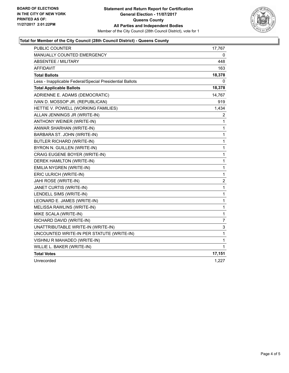

#### **Total for Member of the City Council (28th Council District) - Queens County**

| PUBLIC COUNTER                                           | 17,767         |
|----------------------------------------------------------|----------------|
| MANUALLY COUNTED EMERGENCY                               | 0              |
| <b>ABSENTEE / MILITARY</b>                               | 448            |
| <b>AFFIDAVIT</b>                                         | 163            |
| <b>Total Ballots</b>                                     | 18,378         |
| Less - Inapplicable Federal/Special Presidential Ballots | 0              |
| <b>Total Applicable Ballots</b>                          | 18,378         |
| ADRIENNE E. ADAMS (DEMOCRATIC)                           | 14,767         |
| IVAN D. MOSSOP JR. (REPUBLICAN)                          | 919            |
| HETTIE V. POWELL (WORKING FAMILIES)                      | 1,434          |
| ALLAN JENNINGS JR (WRITE-IN)                             | 2              |
| ANTHONY WEINER (WRITE-IN)                                | 1              |
| ANWAR SHARHAN (WRITE-IN)                                 | 1              |
| BARBARA ST. JOHN (WRITE-IN)                              | 1              |
| <b>BUTLER RICHARD (WRITE-IN)</b>                         | 1              |
| BYRON N. GUILLEN (WRITE-IN)                              | 1              |
| CRAIG EUGENE BOYER (WRITE-IN)                            | 1              |
| DEREK HAMILTON (WRITE-IN)                                | 1              |
| EMILIA NYGREN (WRITE-IN)                                 | 1              |
| ERIC ULRICH (WRITE-IN)                                   | $\mathbf{1}$   |
| JAHI ROSE (WRITE-IN)                                     | $\overline{2}$ |
| JANET CURTIS (WRITE-IN)                                  | 1              |
| LENDELL SIMS (WRITE-IN)                                  | 1              |
| LEONARD E. JAMES (WRITE-IN)                              | $\mathbf{1}$   |
| MELISSA RAWLINS (WRITE-IN)                               | 1              |
| MIKE SCALA (WRITE-IN)                                    | 1              |
| RICHARD DAVID (WRITE-IN)                                 | 7              |
| UNATTRIBUTABLE WRITE-IN (WRITE-IN)                       | 3              |
| UNCOUNTED WRITE-IN PER STATUTE (WRITE-IN)                | 1              |
| VISHNU R MAHADEO (WRITE-IN)                              | 1              |
| WILLIE L. BAKER (WRITE-IN)                               | 1              |
| <b>Total Votes</b>                                       | 17,151         |
| Unrecorded                                               | 1,227          |